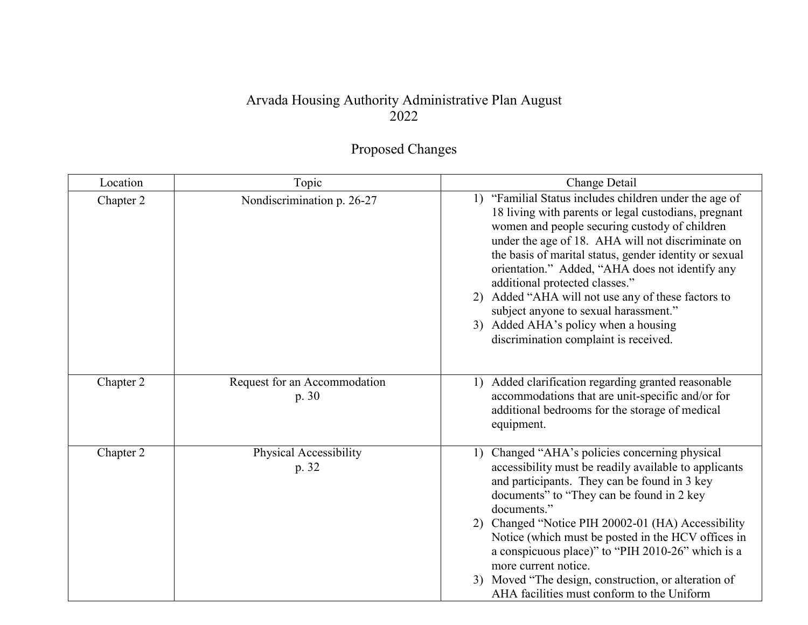## Arvada Housing Authority Administrative Plan August 2022

## Proposed Changes

| Location  | Topic                                 | Change Detail                                                                                                                                                                                                                                                                                                                                                                                                                                                                                                                                       |
|-----------|---------------------------------------|-----------------------------------------------------------------------------------------------------------------------------------------------------------------------------------------------------------------------------------------------------------------------------------------------------------------------------------------------------------------------------------------------------------------------------------------------------------------------------------------------------------------------------------------------------|
| Chapter 2 | Nondiscrimination p. 26-27            | 1) "Familial Status includes children under the age of<br>18 living with parents or legal custodians, pregnant<br>women and people securing custody of children<br>under the age of 18. AHA will not discriminate on<br>the basis of marital status, gender identity or sexual<br>orientation." Added, "AHA does not identify any<br>additional protected classes."<br>2) Added "AHA will not use any of these factors to<br>subject anyone to sexual harassment."<br>3) Added AHA's policy when a housing<br>discrimination complaint is received. |
| Chapter 2 | Request for an Accommodation<br>p. 30 | Added clarification regarding granted reasonable<br>1)<br>accommodations that are unit-specific and/or for<br>additional bedrooms for the storage of medical<br>equipment.                                                                                                                                                                                                                                                                                                                                                                          |
| Chapter 2 | Physical Accessibility<br>p. 32       | Changed "AHA's policies concerning physical<br>1)<br>accessibility must be readily available to applicants<br>and participants. They can be found in 3 key<br>documents" to "They can be found in 2 key<br>documents."<br>2) Changed "Notice PIH 20002-01 (HA) Accessibility<br>Notice (which must be posted in the HCV offices in<br>a conspicuous place)" to "PIH 2010-26" which is a<br>more current notice.<br>3) Moved "The design, construction, or alteration of<br>AHA facilities must conform to the Uniform                               |